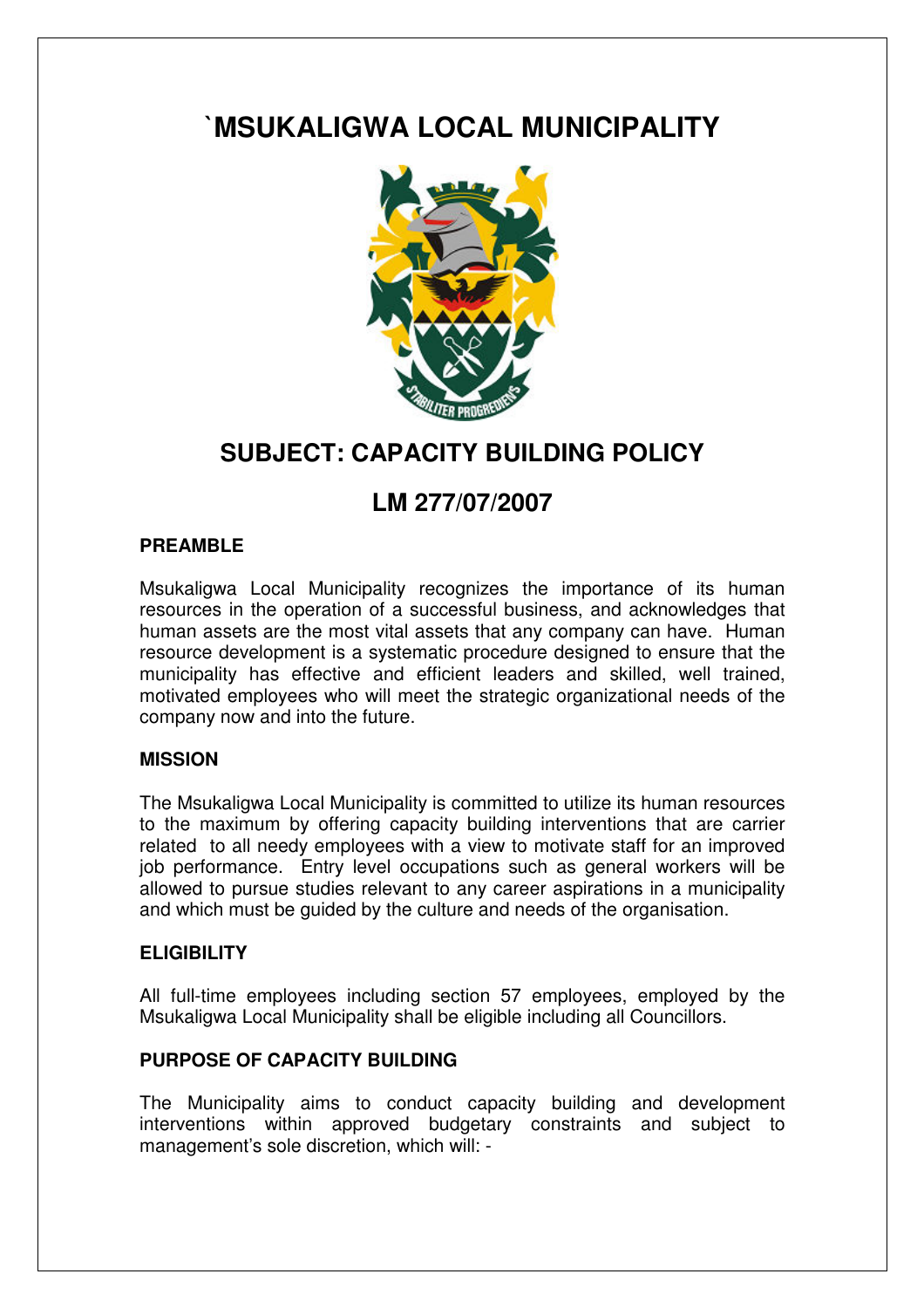# **`MSUKALIGWA LOCAL MUNICIPALITY**



## **SUBJECT: CAPACITY BUILDING POLICY**

## **LM 277/07/2007**

## **PREAMBLE**

Msukaligwa Local Municipality recognizes the importance of its human resources in the operation of a successful business, and acknowledges that human assets are the most vital assets that any company can have. Human resource development is a systematic procedure designed to ensure that the municipality has effective and efficient leaders and skilled, well trained, motivated employees who will meet the strategic organizational needs of the company now and into the future.

#### **MISSION**

The Msukaligwa Local Municipality is committed to utilize its human resources to the maximum by offering capacity building interventions that are carrier related to all needy employees with a view to motivate staff for an improved job performance. Entry level occupations such as general workers will be allowed to pursue studies relevant to any career aspirations in a municipality and which must be guided by the culture and needs of the organisation.

## **ELIGIBILITY**

All full-time employees including section 57 employees, employed by the Msukaligwa Local Municipality shall be eligible including all Councillors.

## **PURPOSE OF CAPACITY BUILDING**

The Municipality aims to conduct capacity building and development interventions within approved budgetary constraints and subject to management's sole discretion, which will: -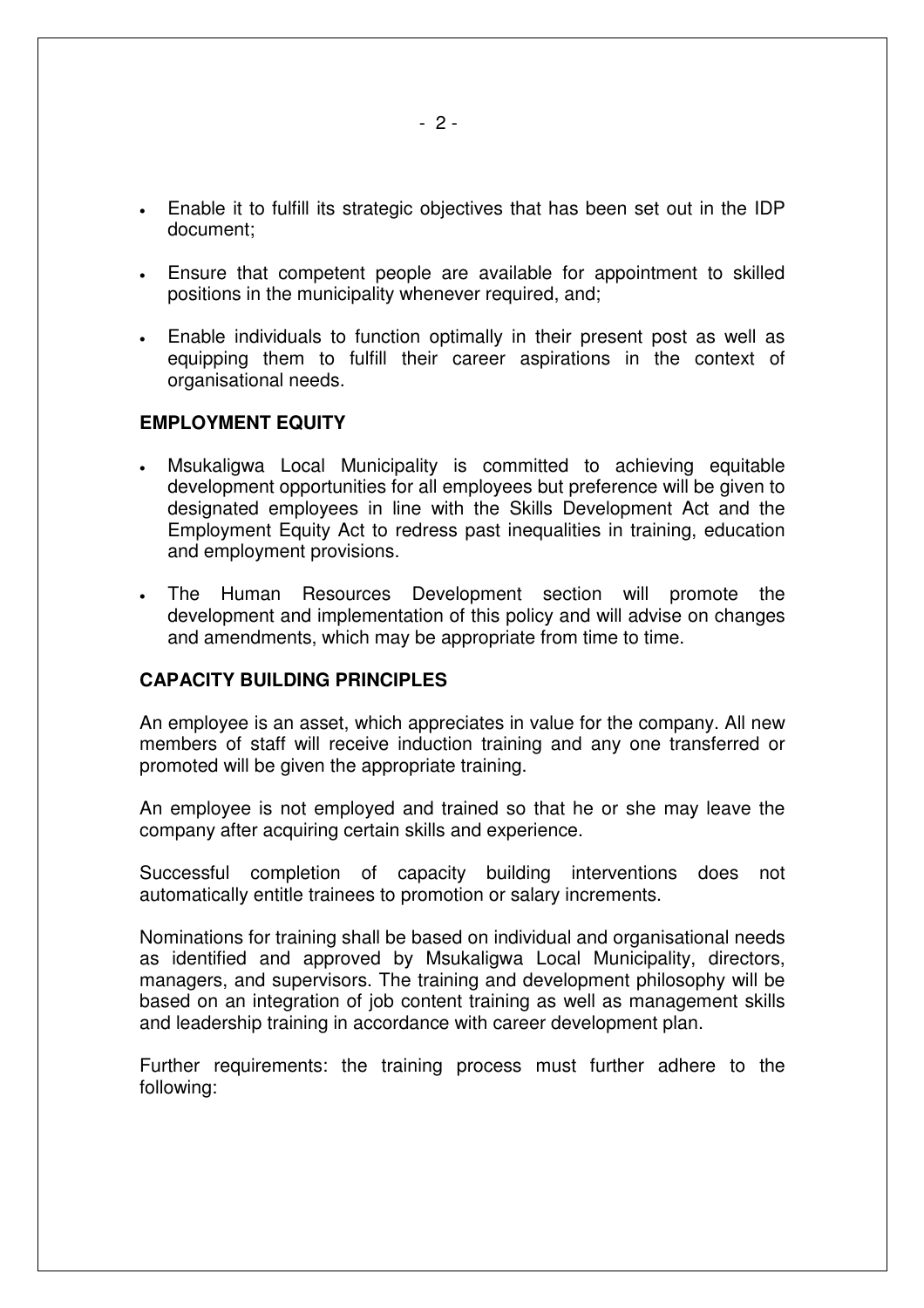- Enable it to fulfill its strategic objectives that has been set out in the IDP document;
- Ensure that competent people are available for appointment to skilled positions in the municipality whenever required, and;
- Enable individuals to function optimally in their present post as well as equipping them to fulfill their career aspirations in the context of organisational needs.

#### **EMPLOYMENT EQUITY**

- Msukaligwa Local Municipality is committed to achieving equitable development opportunities for all employees but preference will be given to designated employees in line with the Skills Development Act and the Employment Equity Act to redress past inequalities in training, education and employment provisions.
- The Human Resources Development section will promote the development and implementation of this policy and will advise on changes and amendments, which may be appropriate from time to time.

#### **CAPACITY BUILDING PRINCIPLES**

An employee is an asset, which appreciates in value for the company. All new members of staff will receive induction training and any one transferred or promoted will be given the appropriate training.

An employee is not employed and trained so that he or she may leave the company after acquiring certain skills and experience.

Successful completion of capacity building interventions does not automatically entitle trainees to promotion or salary increments.

Nominations for training shall be based on individual and organisational needs as identified and approved by Msukaligwa Local Municipality, directors, managers, and supervisors. The training and development philosophy will be based on an integration of job content training as well as management skills and leadership training in accordance with career development plan.

Further requirements: the training process must further adhere to the following: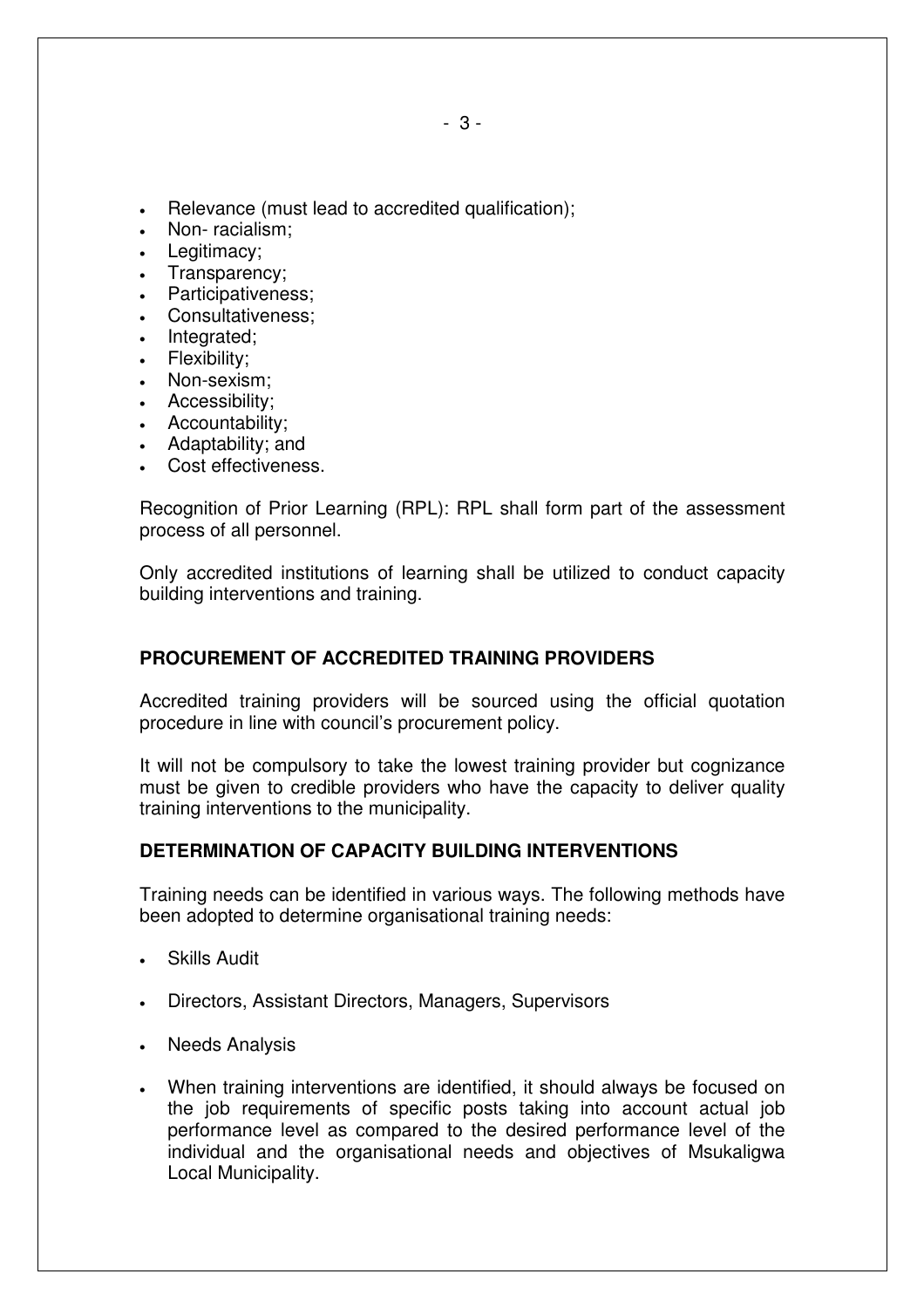- Relevance (must lead to accredited qualification);
- Non-racialism;
- Legitimacy;
- Transparency;
- Participativeness;
- Consultativeness;
- Integrated;
- Flexibility;
- Non-sexism;
- Accessibility;
- Accountability;
- Adaptability; and
- Cost effectiveness.

Recognition of Prior Learning (RPL): RPL shall form part of the assessment process of all personnel.

Only accredited institutions of learning shall be utilized to conduct capacity building interventions and training.

## **PROCUREMENT OF ACCREDITED TRAINING PROVIDERS**

Accredited training providers will be sourced using the official quotation procedure in line with council's procurement policy.

It will not be compulsory to take the lowest training provider but cognizance must be given to credible providers who have the capacity to deliver quality training interventions to the municipality.

## **DETERMINATION OF CAPACITY BUILDING INTERVENTIONS**

Training needs can be identified in various ways. The following methods have been adopted to determine organisational training needs:

- Skills Audit
- Directors, Assistant Directors, Managers, Supervisors
- Needs Analysis
- When training interventions are identified, it should always be focused on the job requirements of specific posts taking into account actual job performance level as compared to the desired performance level of the individual and the organisational needs and objectives of Msukaligwa Local Municipality.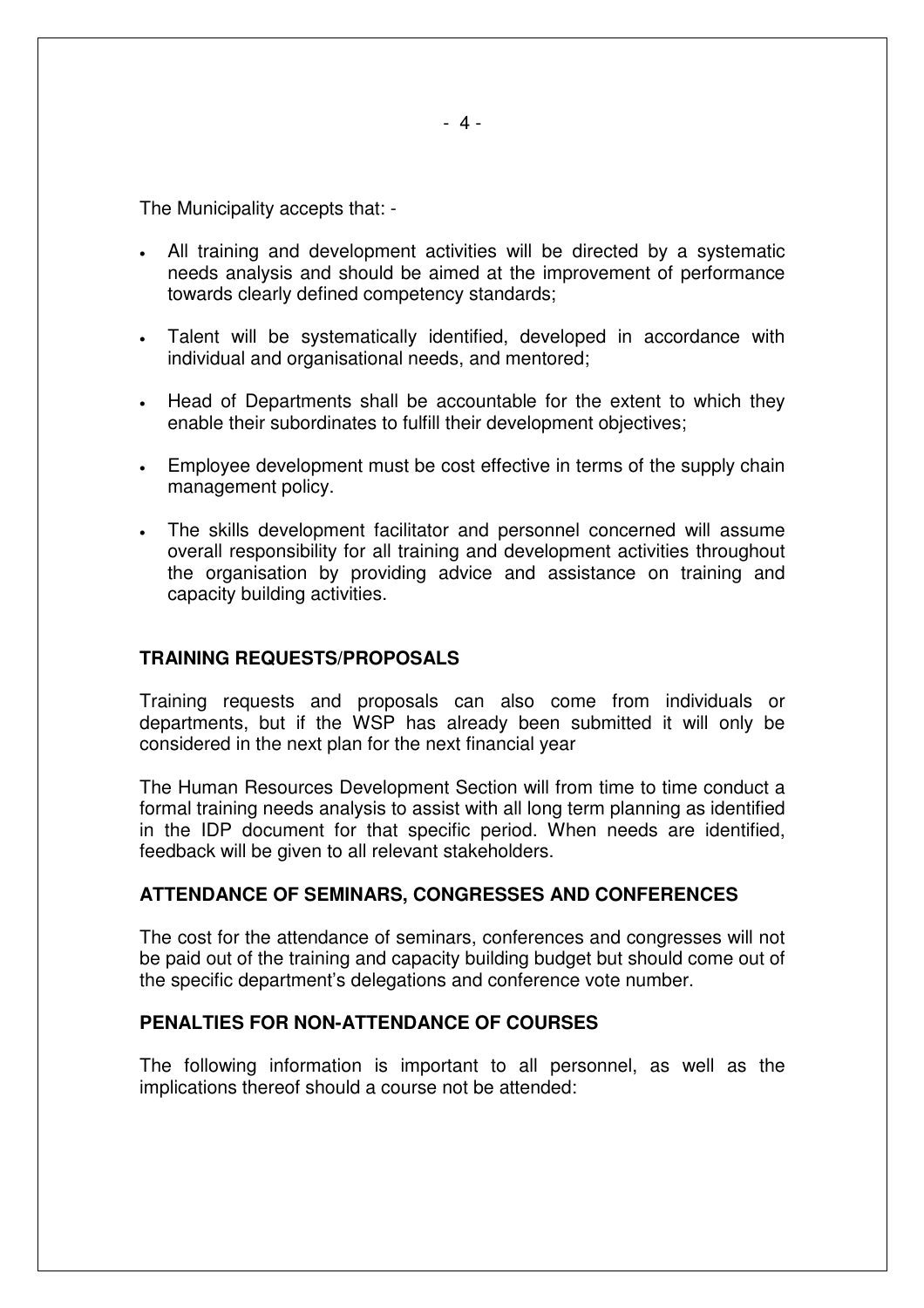The Municipality accepts that: -

- All training and development activities will be directed by a systematic needs analysis and should be aimed at the improvement of performance towards clearly defined competency standards;
- Talent will be systematically identified, developed in accordance with individual and organisational needs, and mentored;
- Head of Departments shall be accountable for the extent to which they enable their subordinates to fulfill their development objectives;
- Employee development must be cost effective in terms of the supply chain management policy.
- The skills development facilitator and personnel concerned will assume overall responsibility for all training and development activities throughout the organisation by providing advice and assistance on training and capacity building activities.

#### **TRAINING REQUESTS/PROPOSALS**

Training requests and proposals can also come from individuals or departments, but if the WSP has already been submitted it will only be considered in the next plan for the next financial year

The Human Resources Development Section will from time to time conduct a formal training needs analysis to assist with all long term planning as identified in the IDP document for that specific period. When needs are identified, feedback will be given to all relevant stakeholders.

#### **ATTENDANCE OF SEMINARS, CONGRESSES AND CONFERENCES**

The cost for the attendance of seminars, conferences and congresses will not be paid out of the training and capacity building budget but should come out of the specific department's delegations and conference vote number.

#### **PENALTIES FOR NON-ATTENDANCE OF COURSES**

The following information is important to all personnel, as well as the implications thereof should a course not be attended: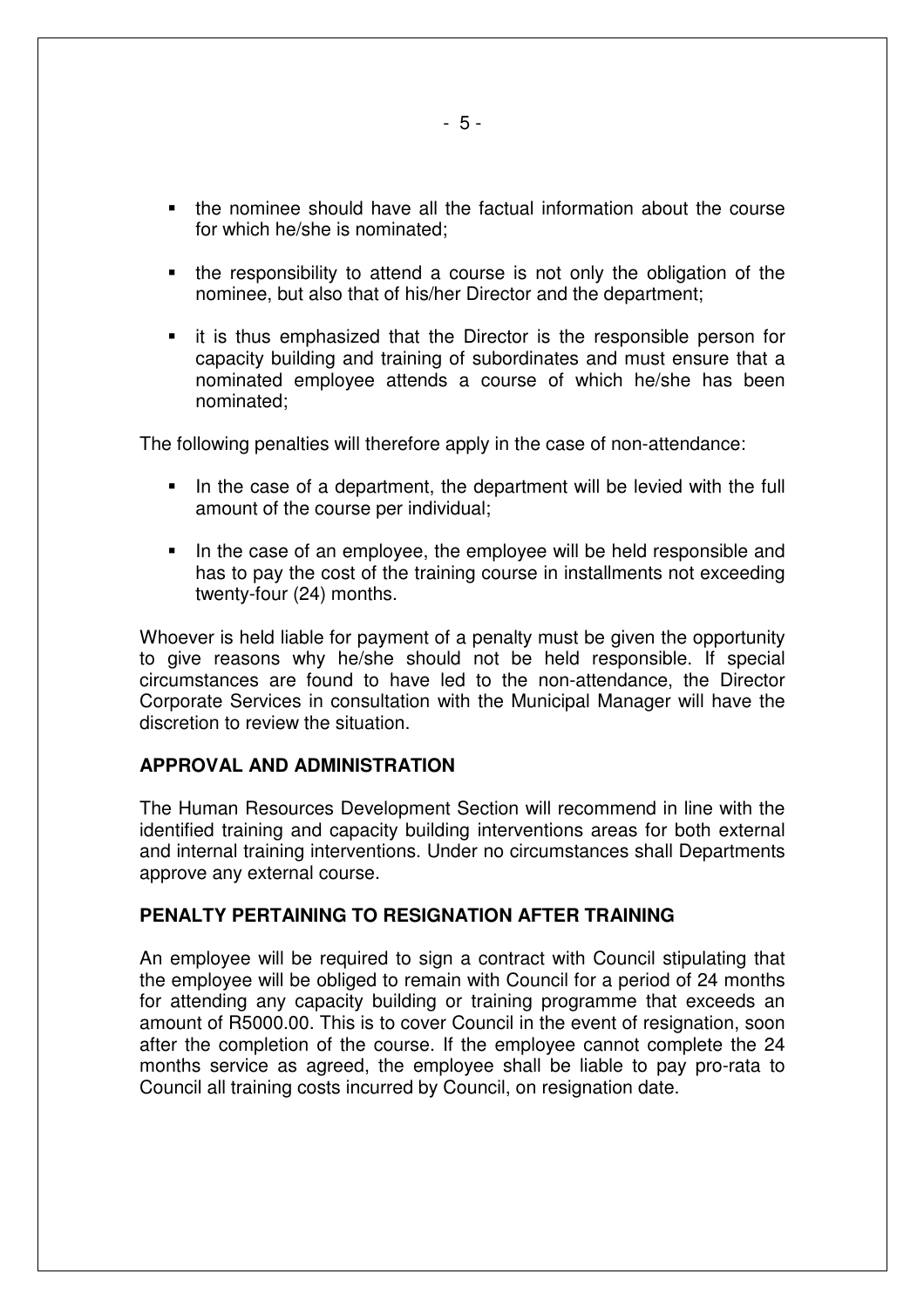- the nominee should have all the factual information about the course for which he/she is nominated;
- the responsibility to attend a course is not only the obligation of the nominee, but also that of his/her Director and the department;
- **EXT** it is thus emphasized that the Director is the responsible person for capacity building and training of subordinates and must ensure that a nominated employee attends a course of which he/she has been nominated;

The following penalties will therefore apply in the case of non-attendance:

- In the case of a department, the department will be levied with the full amount of the course per individual;
- In the case of an employee, the employee will be held responsible and has to pay the cost of the training course in installments not exceeding twenty-four (24) months.

Whoever is held liable for payment of a penalty must be given the opportunity to give reasons why he/she should not be held responsible. If special circumstances are found to have led to the non-attendance, the Director Corporate Services in consultation with the Municipal Manager will have the discretion to review the situation.

#### **APPROVAL AND ADMINISTRATION**

The Human Resources Development Section will recommend in line with the identified training and capacity building interventions areas for both external and internal training interventions. Under no circumstances shall Departments approve any external course.

#### **PENALTY PERTAINING TO RESIGNATION AFTER TRAINING**

An employee will be required to sign a contract with Council stipulating that the employee will be obliged to remain with Council for a period of 24 months for attending any capacity building or training programme that exceeds an amount of R5000.00. This is to cover Council in the event of resignation, soon after the completion of the course. If the employee cannot complete the 24 months service as agreed, the employee shall be liable to pay pro-rata to Council all training costs incurred by Council, on resignation date.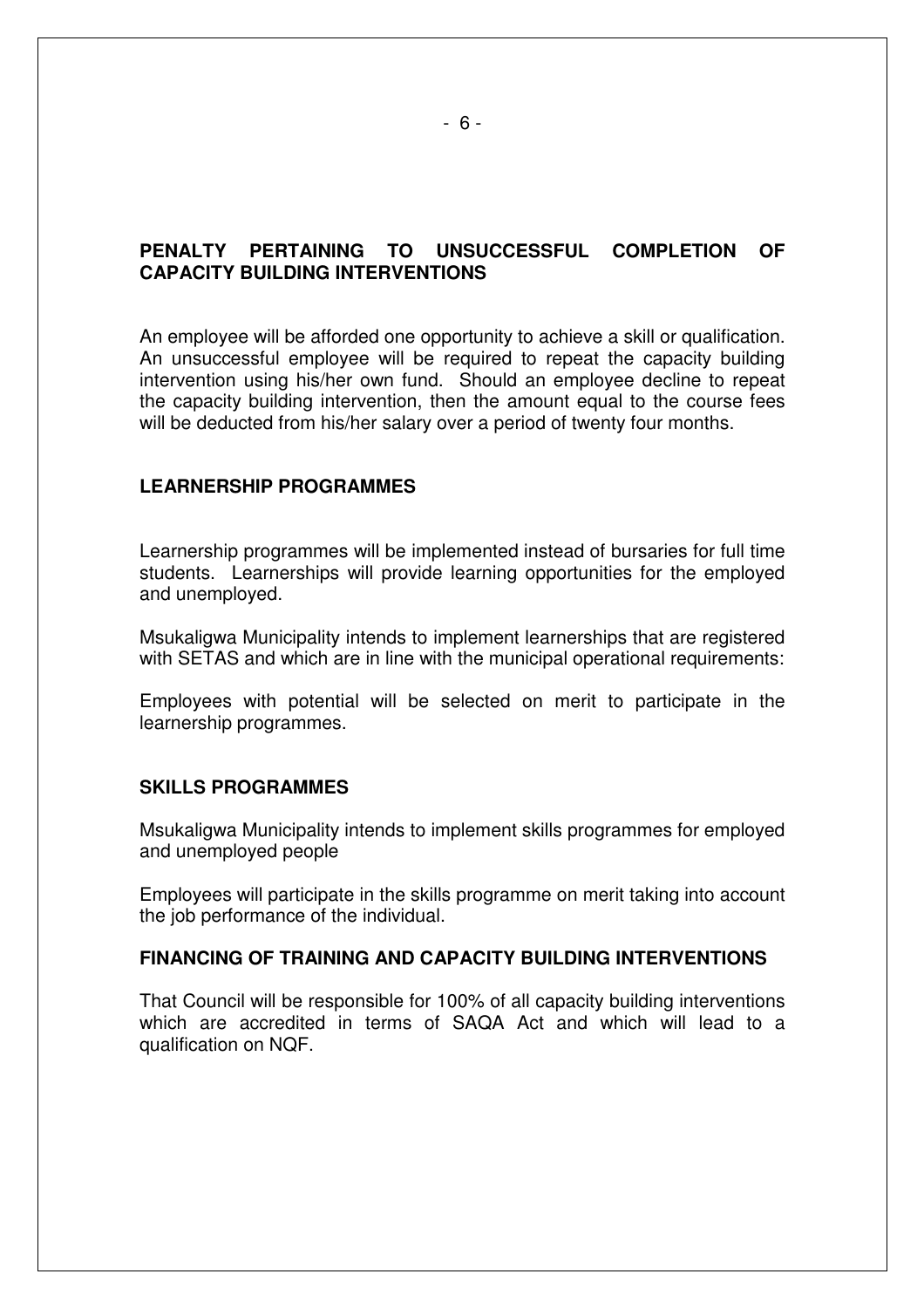## **PENALTY PERTAINING TO UNSUCCESSFUL COMPLETION OF CAPACITY BUILDING INTERVENTIONS**

An employee will be afforded one opportunity to achieve a skill or qualification. An unsuccessful employee will be required to repeat the capacity building intervention using his/her own fund. Should an employee decline to repeat the capacity building intervention, then the amount equal to the course fees will be deducted from his/her salary over a period of twenty four months.

#### **LEARNERSHIP PROGRAMMES**

Learnership programmes will be implemented instead of bursaries for full time students. Learnerships will provide learning opportunities for the employed and unemployed.

Msukaligwa Municipality intends to implement learnerships that are registered with SETAS and which are in line with the municipal operational requirements:

Employees with potential will be selected on merit to participate in the learnership programmes.

#### **SKILLS PROGRAMMES**

Msukaligwa Municipality intends to implement skills programmes for employed and unemployed people

Employees will participate in the skills programme on merit taking into account the job performance of the individual.

#### **FINANCING OF TRAINING AND CAPACITY BUILDING INTERVENTIONS**

That Council will be responsible for 100% of all capacity building interventions which are accredited in terms of SAQA Act and which will lead to a qualification on NQF.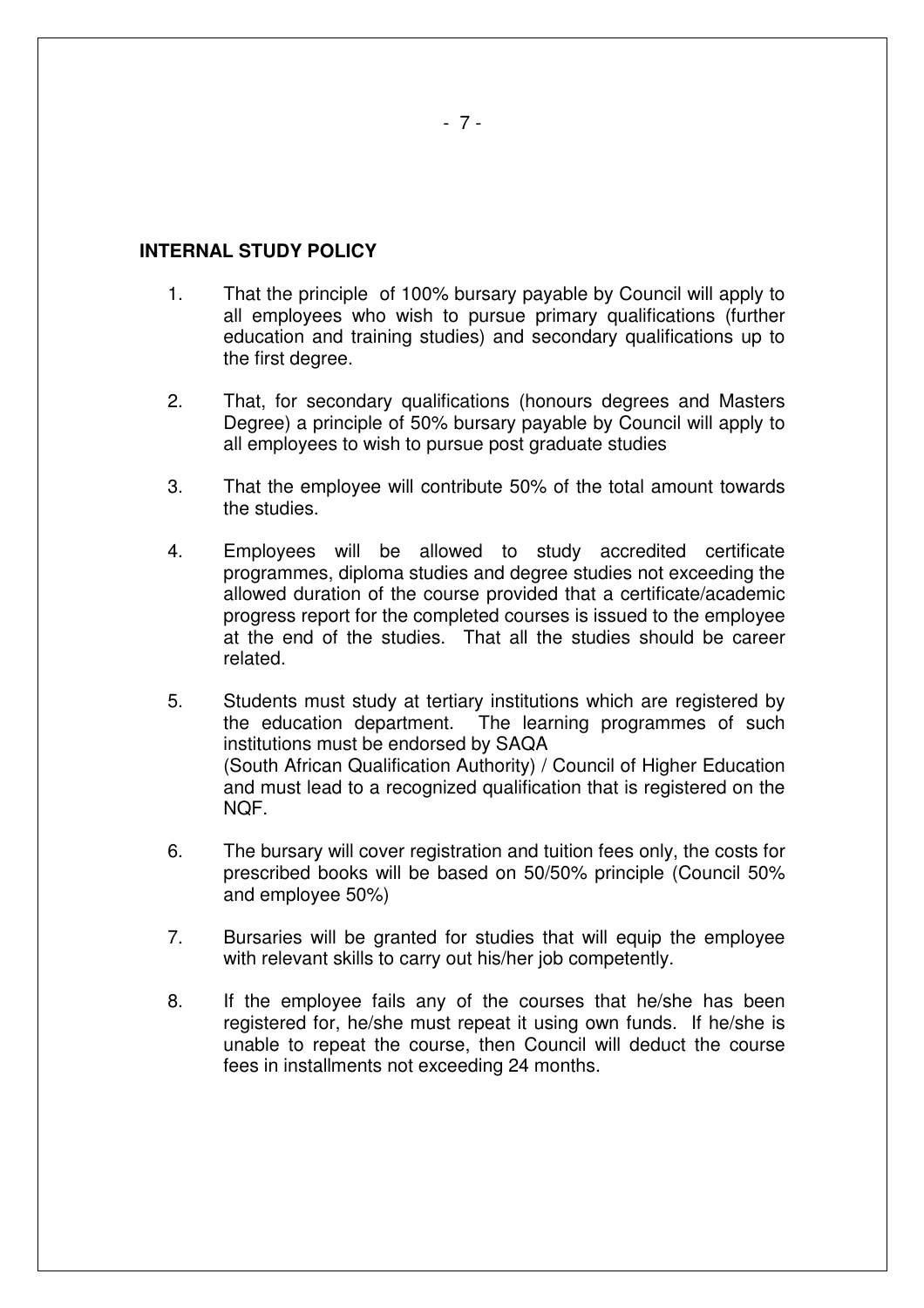#### **INTERNAL STUDY POLICY**

- 1. That the principle of 100% bursary payable by Council will apply to all employees who wish to pursue primary qualifications (further education and training studies) and secondary qualifications up to the first degree.
- 2. That, for secondary qualifications (honours degrees and Masters Degree) a principle of 50% bursary payable by Council will apply to all employees to wish to pursue post graduate studies
- 3. That the employee will contribute 50% of the total amount towards the studies.
- 4. Employees will be allowed to study accredited certificate programmes, diploma studies and degree studies not exceeding the allowed duration of the course provided that a certificate/academic progress report for the completed courses is issued to the employee at the end of the studies. That all the studies should be career related.
- 5. Students must study at tertiary institutions which are registered by the education department. The learning programmes of such institutions must be endorsed by SAQA (South African Qualification Authority) / Council of Higher Education and must lead to a recognized qualification that is registered on the NQF.
- 6. The bursary will cover registration and tuition fees only, the costs for prescribed books will be based on 50/50% principle (Council 50% and employee 50%)
- 7. Bursaries will be granted for studies that will equip the employee with relevant skills to carry out his/her job competently.
- 8. If the employee fails any of the courses that he/she has been registered for, he/she must repeat it using own funds. If he/she is unable to repeat the course, then Council will deduct the course fees in installments not exceeding 24 months.